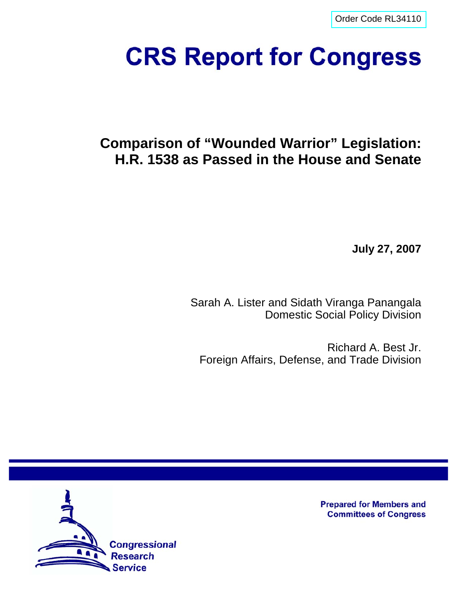[Order Code RL34110](http://www.fas.org/sgp/crs/natsec/index.html)

# **CRS Report for Congress**

# **Comparison of "Wounded Warrior" Legislation: H.R. 1538 as Passed in the House and Senate**

**July 27, 2007**

Sarah A. Lister and Sidath Viranga Panangala Domestic Social Policy Division

Richard A. Best Jr. Foreign Affairs, Defense, and Trade Division



**Prepared for Members and Committees of Congress**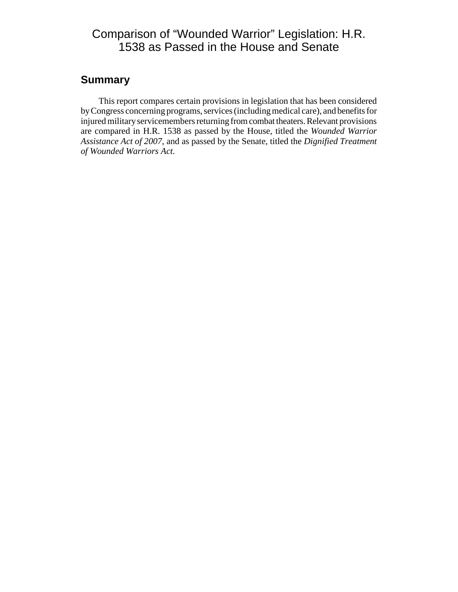# Comparison of "Wounded Warrior" Legislation: H.R. 1538 as Passed in the House and Senate

## **Summary**

This report compares certain provisions in legislation that has been considered by Congress concerning programs, services (including medical care), and benefits for injured military servicemembers returning from combat theaters. Relevant provisions are compared in H.R. 1538 as passed by the House, titled the *Wounded Warrior Assistance Act of 2007*, and as passed by the Senate, titled the *Dignified Treatment of Wounded Warriors Act.*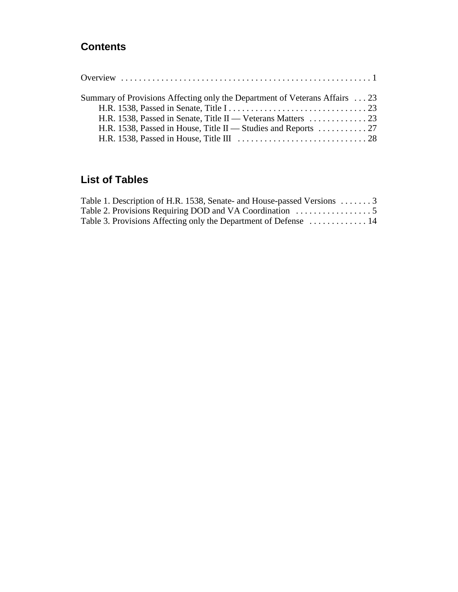# **Contents**

| Summary of Provisions Affecting only the Department of Veterans Affairs 23        |  |
|-----------------------------------------------------------------------------------|--|
|                                                                                   |  |
|                                                                                   |  |
| H.R. 1538, Passed in House, Title II — Studies and Reports $\dots \dots \dots 27$ |  |
|                                                                                   |  |

# **List of Tables**

| Table 1. Description of H.R. 1538, Senate- and House-passed Versions  3 |  |
|-------------------------------------------------------------------------|--|
|                                                                         |  |
| Table 3. Provisions Affecting only the Department of Defense  14        |  |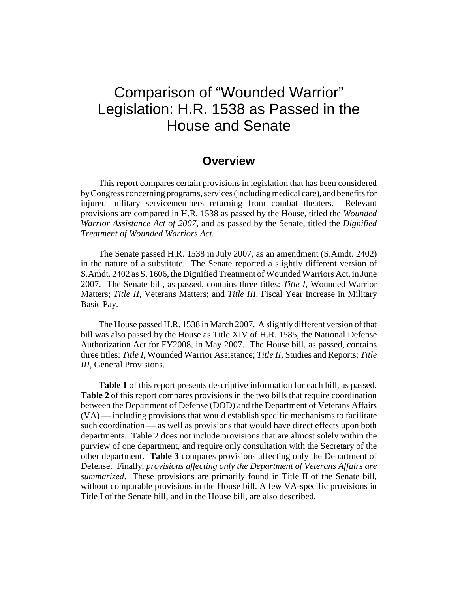# Comparison of "Wounded Warrior" Legislation: H.R. 1538 as Passed in the House and Senate

## **Overview**

This report compares certain provisions in legislation that has been considered by Congress concerning programs, services (including medical care), and benefits for injured military servicemembers returning from combat theaters. Relevant provisions are compared in H.R. 1538 as passed by the House, titled the *Wounded Warrior Assistance Act of 2007*, and as passed by the Senate, titled the *Dignified Treatment of Wounded Warriors Act.*

The Senate passed H.R. 1538 in July 2007, as an amendment (S.Amdt. 2402) in the nature of a substitute. The Senate reported a slightly different version of S.Amdt. 2402 as S. 1606, the Dignified Treatment of Wounded Warriors Act, in June 2007. The Senate bill, as passed, contains three titles: *Title I,* Wounded Warrior Matters; *Title II,* Veterans Matters; and *Title III,* Fiscal Year Increase in Military Basic Pay.

The House passed H.R. 1538 in March 2007. A slightly different version of that bill was also passed by the House as Title XIV of H.R. 1585, the National Defense Authorization Act for FY2008, in May 2007. The House bill, as passed, contains three titles: *Title I,* Wounded Warrior Assistance; *Title II,* Studies and Reports; *Title III,* General Provisions.

**Table 1** of this report presents descriptive information for each bill, as passed. **Table 2** of this report compares provisions in the two bills that require coordination between the Department of Defense (DOD) and the Department of Veterans Affairs (VA) — including provisions that would establish specific mechanisms to facilitate such coordination — as well as provisions that would have direct effects upon both departments. Table 2 does not include provisions that are almost solely within the purview of one department, and require only consultation with the Secretary of the other department. **Table 3** compares provisions affecting only the Department of Defense. Finally, *provisions affecting only the Department of Veterans Affairs are summarized*. These provisions are primarily found in Title II of the Senate bill, without comparable provisions in the House bill. A few VA-specific provisions in Title I of the Senate bill, and in the House bill, are also described.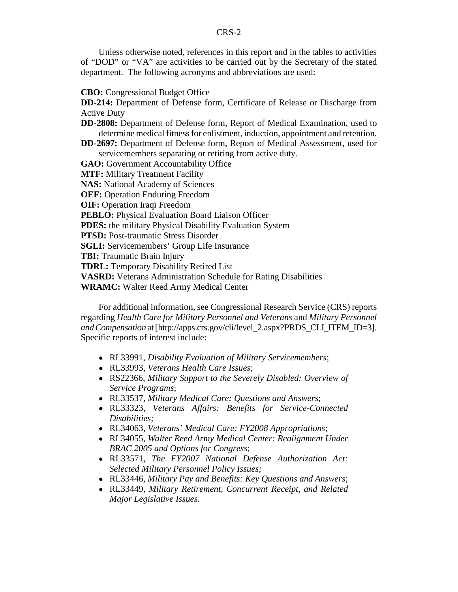Unless otherwise noted, references in this report and in the tables to activities of "DOD" or "VA" are activities to be carried out by the Secretary of the stated department. The following acronyms and abbreviations are used:

#### **CBO:** Congressional Budget Office

**DD-214:** Department of Defense form, Certificate of Release or Discharge from Active Duty

- **DD-2808:** Department of Defense form, Report of Medical Examination, used to determine medical fitness for enlistment, induction, appointment and retention.
- **DD-2697:** Department of Defense form, Report of Medical Assessment, used for servicemembers separating or retiring from active duty.
- **GAO:** Government Accountability Office
- **MTF:** Military Treatment Facility
- **NAS:** National Academy of Sciences
- **OEF:** Operation Enduring Freedom
- **OIF:** Operation Iraqi Freedom
- **PEBLO:** Physical Evaluation Board Liaison Officer
- **PDES:** the military Physical Disability Evaluation System
- **PTSD:** Post-traumatic Stress Disorder
- **SGLI:** Servicemembers' Group Life Insurance
- **TBI:** Traumatic Brain Injury
- **TDRL:** Temporary Disability Retired List
- **VASRD:** Veterans Administration Schedule for Rating Disabilities
- **WRAMC:** Walter Reed Army Medical Center

For additional information, see Congressional Research Service (CRS) reports regarding *Health Care for Military Personnel and Veterans* and *Military Personnel and Compensation* at [http://apps.crs.gov/cli/level\_2.aspx?PRDS\_CLI\_ITEM\_ID=3]. Specific reports of interest include:

- ! RL33991, *Disability Evaluation of Military Servicemembers*;
- ! RL33993, *Veterans Health Care Issues*;
- ! RS22366, *Military Support to the Severely Disabled: Overview of Service Programs*;
- ! RL33537, *Military Medical Care: Questions and Answers*;
- ! RL33323, *Veterans Affairs: Benefits for Service-Connected Disabilities;*
- ! RL34063, *Veterans' Medical Care: FY2008 Appropriations*;
- ! RL34055, *Walter Reed Army Medical Center: Realignment Under BRAC 2005 and Options for Congress*;
- ! RL33571, *The FY2007 National Defense Authorization Act: Selected Military Personnel Policy Issues;*
- ! RL33446, *Military Pay and Benefits: Key Questions and Answers*;
- ! RL33449, *Military Retirement, Concurrent Receipt, and Related Major Legislative Issues.*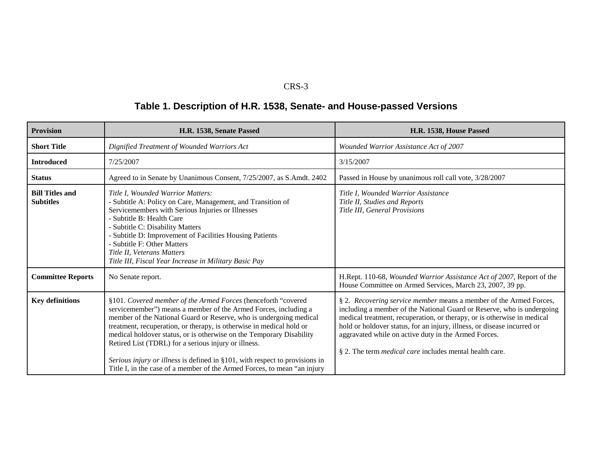# **Table 1. Description of H.R. 1538, Senate- and House-passed Versions**

| <b>Provision</b>                           | H.R. 1538, Senate Passed                                                                                                                                                                                                                                                                                                                                                                                                                                                                                                                                                  | H.R. 1538, House Passed                                                                                                                                                                                                                                                                                                                                                                                                      |
|--------------------------------------------|---------------------------------------------------------------------------------------------------------------------------------------------------------------------------------------------------------------------------------------------------------------------------------------------------------------------------------------------------------------------------------------------------------------------------------------------------------------------------------------------------------------------------------------------------------------------------|------------------------------------------------------------------------------------------------------------------------------------------------------------------------------------------------------------------------------------------------------------------------------------------------------------------------------------------------------------------------------------------------------------------------------|
| <b>Short Title</b>                         | Dignified Treatment of Wounded Warriors Act                                                                                                                                                                                                                                                                                                                                                                                                                                                                                                                               | Wounded Warrior Assistance Act of 2007                                                                                                                                                                                                                                                                                                                                                                                       |
| <b>Introduced</b>                          | 7/25/2007                                                                                                                                                                                                                                                                                                                                                                                                                                                                                                                                                                 | 3/15/2007                                                                                                                                                                                                                                                                                                                                                                                                                    |
| <b>Status</b>                              | Agreed to in Senate by Unanimous Consent, 7/25/2007, as S.Amdt. 2402                                                                                                                                                                                                                                                                                                                                                                                                                                                                                                      | Passed in House by unanimous roll call vote, 3/28/2007                                                                                                                                                                                                                                                                                                                                                                       |
| <b>Bill Titles and</b><br><b>Subtitles</b> | Title I, Wounded Warrior Matters:<br>- Subtitle A: Policy on Care, Management, and Transition of<br>Servicemembers with Serious Injuries or Illnesses<br>- Subtitle B: Health Care<br>- Subtitle C: Disability Matters<br>- Subtitle D: Improvement of Facilities Housing Patients<br>- Subtitle F: Other Matters<br>Title II. Veterans Matters<br>Title III, Fiscal Year Increase in Military Basic Pay                                                                                                                                                                  | Title I, Wounded Warrior Assistance<br>Title II, Studies and Reports<br>Title III, General Provisions                                                                                                                                                                                                                                                                                                                        |
| <b>Committee Reports</b>                   | No Senate report.                                                                                                                                                                                                                                                                                                                                                                                                                                                                                                                                                         | H.Rept. 110-68, Wounded Warrior Assistance Act of 2007, Report of the<br>House Committee on Armed Services, March 23, 2007, 39 pp.                                                                                                                                                                                                                                                                                           |
| <b>Key definitions</b>                     | §101. Covered member of the Armed Forces (henceforth "covered<br>servicemember") means a member of the Armed Forces, including a<br>member of the National Guard or Reserve, who is undergoing medical<br>treatment, recuperation, or therapy, is otherwise in medical hold or<br>medical holdover status, or is otherwise on the Temporary Disability<br>Retired List (TDRL) for a serious injury or illness.<br>Serious injury or illness is defined in §101, with respect to provisions in<br>Title I, in the case of a member of the Armed Forces, to mean "an injury | § 2. Recovering service member means a member of the Armed Forces,<br>including a member of the National Guard or Reserve, who is undergoing<br>medical treatment, recuperation, or therapy, or is otherwise in medical<br>hold or holdover status, for an injury, illness, or disease incurred or<br>aggravated while on active duty in the Armed Forces.<br>§ 2. The term <i>medical care</i> includes mental health care. |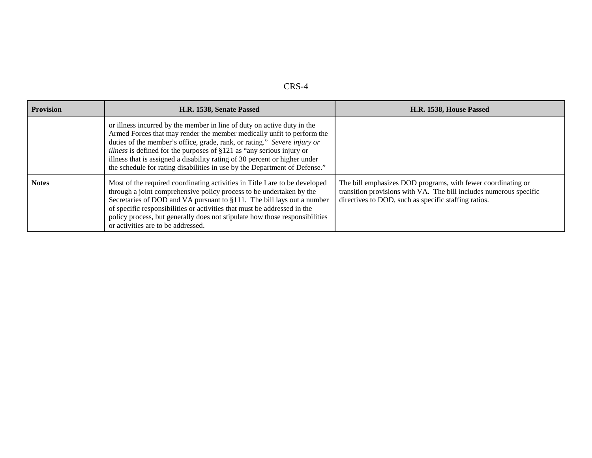| <b>Provision</b> | H.R. 1538, Senate Passed                                                                                                                                                                                                                                                                                                                                                                                                                                                  | H.R. 1538, House Passed                                                                                                                                                                    |
|------------------|---------------------------------------------------------------------------------------------------------------------------------------------------------------------------------------------------------------------------------------------------------------------------------------------------------------------------------------------------------------------------------------------------------------------------------------------------------------------------|--------------------------------------------------------------------------------------------------------------------------------------------------------------------------------------------|
|                  | or illness incurred by the member in line of duty on active duty in the<br>Armed Forces that may render the member medically unfit to perform the<br>duties of the member's office, grade, rank, or rating." Severe injury or<br><i>illness</i> is defined for the purposes of §121 as "any serious injury or<br>illness that is assigned a disability rating of 30 percent or higher under<br>the schedule for rating disabilities in use by the Department of Defense." |                                                                                                                                                                                            |
| <b>Notes</b>     | Most of the required coordinating activities in Title I are to be developed<br>through a joint comprehensive policy process to be undertaken by the<br>Secretaries of DOD and VA pursuant to §111. The bill lays out a number<br>of specific responsibilities or activities that must be addressed in the<br>policy process, but generally does not stipulate how those responsibilities<br>or activities are to be addressed.                                            | The bill emphasizes DOD programs, with fewer coordinating or<br>transition provisions with VA. The bill includes numerous specific<br>directives to DOD, such as specific staffing ratios. |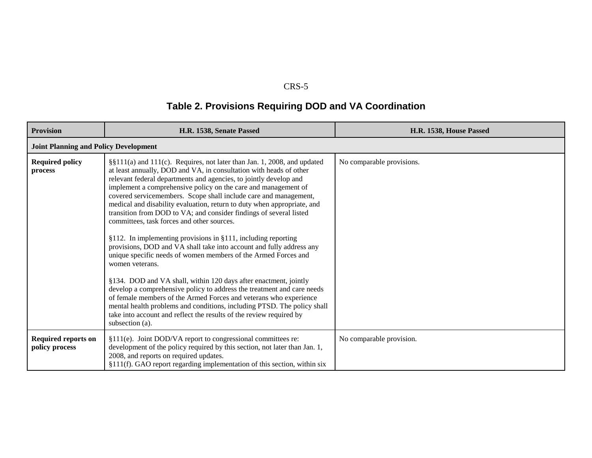# **Table 2. Provisions Requiring DOD and VA Coordination**

| <b>Provision</b>                             | H.R. 1538, Senate Passed                                                                                                                                                                                                                                                                                                                                                                                                                                                                                                                                                                                                                                                                                                                                                                                                                                                                                                                                                                                                                                                                                                                                                      | H.R. 1538, House Passed   |
|----------------------------------------------|-------------------------------------------------------------------------------------------------------------------------------------------------------------------------------------------------------------------------------------------------------------------------------------------------------------------------------------------------------------------------------------------------------------------------------------------------------------------------------------------------------------------------------------------------------------------------------------------------------------------------------------------------------------------------------------------------------------------------------------------------------------------------------------------------------------------------------------------------------------------------------------------------------------------------------------------------------------------------------------------------------------------------------------------------------------------------------------------------------------------------------------------------------------------------------|---------------------------|
| <b>Joint Planning and Policy Development</b> |                                                                                                                                                                                                                                                                                                                                                                                                                                                                                                                                                                                                                                                                                                                                                                                                                                                                                                                                                                                                                                                                                                                                                                               |                           |
| <b>Required policy</b><br>process            | §§111(a) and 111(c). Requires, not later than Jan. 1, 2008, and updated<br>at least annually, DOD and VA, in consultation with heads of other<br>relevant federal departments and agencies, to jointly develop and<br>implement a comprehensive policy on the care and management of<br>covered servicemembers. Scope shall include care and management,<br>medical and disability evaluation, return to duty when appropriate, and<br>transition from DOD to VA; and consider findings of several listed<br>committees, task forces and other sources.<br>§112. In implementing provisions in §111, including reporting<br>provisions, DOD and VA shall take into account and fully address any<br>unique specific needs of women members of the Armed Forces and<br>women veterans.<br>§134. DOD and VA shall, within 120 days after enactment, jointly<br>develop a comprehensive policy to address the treatment and care needs<br>of female members of the Armed Forces and veterans who experience<br>mental health problems and conditions, including PTSD. The policy shall<br>take into account and reflect the results of the review required by<br>subsection (a). | No comparable provisions. |
| Required reports on<br>policy process        | §111(e). Joint DOD/VA report to congressional committees re:<br>development of the policy required by this section, not later than Jan. 1,<br>2008, and reports on required updates.<br>§111(f). GAO report regarding implementation of this section, within six                                                                                                                                                                                                                                                                                                                                                                                                                                                                                                                                                                                                                                                                                                                                                                                                                                                                                                              | No comparable provision.  |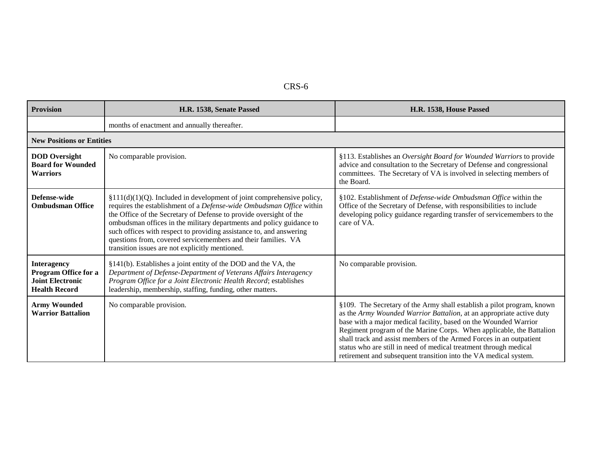| <b>Provision</b>                                                                              | H.R. 1538, Senate Passed                                                                                                                                                                                                                                                                                                                                                                                                                                                                  | H.R. 1538, House Passed                                                                                                                                                                                                                                                                                                                                                                                                                                                                                    |
|-----------------------------------------------------------------------------------------------|-------------------------------------------------------------------------------------------------------------------------------------------------------------------------------------------------------------------------------------------------------------------------------------------------------------------------------------------------------------------------------------------------------------------------------------------------------------------------------------------|------------------------------------------------------------------------------------------------------------------------------------------------------------------------------------------------------------------------------------------------------------------------------------------------------------------------------------------------------------------------------------------------------------------------------------------------------------------------------------------------------------|
|                                                                                               | months of enactment and annually thereafter.                                                                                                                                                                                                                                                                                                                                                                                                                                              |                                                                                                                                                                                                                                                                                                                                                                                                                                                                                                            |
| <b>New Positions or Entities</b>                                                              |                                                                                                                                                                                                                                                                                                                                                                                                                                                                                           |                                                                                                                                                                                                                                                                                                                                                                                                                                                                                                            |
| <b>DOD</b> Oversight<br><b>Board for Wounded</b><br><b>Warriors</b>                           | No comparable provision.                                                                                                                                                                                                                                                                                                                                                                                                                                                                  | §113. Establishes an Oversight Board for Wounded Warriors to provide<br>advice and consultation to the Secretary of Defense and congressional<br>committees. The Secretary of VA is involved in selecting members of<br>the Board.                                                                                                                                                                                                                                                                         |
| Defense-wide<br><b>Ombudsman Office</b>                                                       | $$111(d)(1)(Q)$ . Included in development of joint comprehensive policy,<br>requires the establishment of a Defense-wide Ombudsman Office within<br>the Office of the Secretary of Defense to provide oversight of the<br>ombudsman offices in the military departments and policy guidance to<br>such offices with respect to providing assistance to, and answering<br>questions from, covered servicemembers and their families. VA<br>transition issues are not explicitly mentioned. | §102. Establishment of Defense-wide Ombudsman Office within the<br>Office of the Secretary of Defense, with responsibilities to include<br>developing policy guidance regarding transfer of servicemembers to the<br>care of VA.                                                                                                                                                                                                                                                                           |
| <b>Interagency</b><br>Program Office for a<br><b>Joint Electronic</b><br><b>Health Record</b> | §141(b). Establishes a joint entity of the DOD and the VA, the<br>Department of Defense-Department of Veterans Affairs Interagency<br>Program Office for a Joint Electronic Health Record; establishes<br>leadership, membership, staffing, funding, other matters.                                                                                                                                                                                                                       | No comparable provision.                                                                                                                                                                                                                                                                                                                                                                                                                                                                                   |
| <b>Army Wounded</b><br><b>Warrior Battalion</b>                                               | No comparable provision.                                                                                                                                                                                                                                                                                                                                                                                                                                                                  | §109. The Secretary of the Army shall establish a pilot program, known<br>as the Army Wounded Warrior Battalion, at an appropriate active duty<br>base with a major medical facility, based on the Wounded Warrior<br>Regiment program of the Marine Corps. When applicable, the Battalion<br>shall track and assist members of the Armed Forces in an outpatient<br>status who are still in need of medical treatment through medical<br>retirement and subsequent transition into the VA medical system. |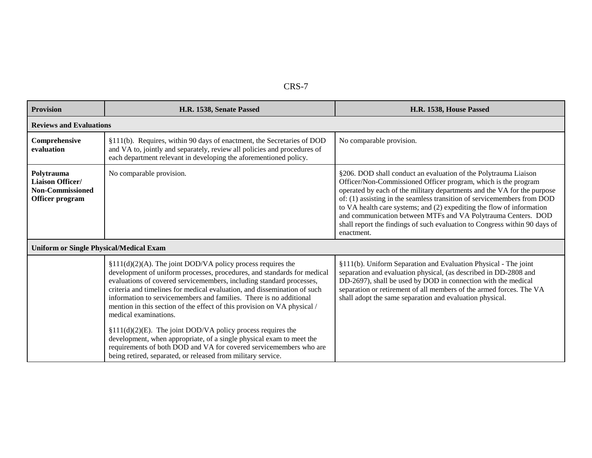|--|--|

| <b>Provision</b>                                                             | H.R. 1538, Senate Passed                                                                                                                                                                                                                                                                                                                                                                                                                                                                                                                   | H.R. 1538, House Passed                                                                                                                                                                                                                                                                                                                                                                                                                                                                                                       |
|------------------------------------------------------------------------------|--------------------------------------------------------------------------------------------------------------------------------------------------------------------------------------------------------------------------------------------------------------------------------------------------------------------------------------------------------------------------------------------------------------------------------------------------------------------------------------------------------------------------------------------|-------------------------------------------------------------------------------------------------------------------------------------------------------------------------------------------------------------------------------------------------------------------------------------------------------------------------------------------------------------------------------------------------------------------------------------------------------------------------------------------------------------------------------|
| <b>Reviews and Evaluations</b>                                               |                                                                                                                                                                                                                                                                                                                                                                                                                                                                                                                                            |                                                                                                                                                                                                                                                                                                                                                                                                                                                                                                                               |
| Comprehensive<br>evaluation                                                  | §111(b). Requires, within 90 days of enactment, the Secretaries of DOD<br>and VA to, jointly and separately, review all policies and procedures of<br>each department relevant in developing the aforementioned policy.                                                                                                                                                                                                                                                                                                                    | No comparable provision.                                                                                                                                                                                                                                                                                                                                                                                                                                                                                                      |
| Polytrauma<br>Liaison Officer/<br><b>Non-Commissioned</b><br>Officer program | No comparable provision.                                                                                                                                                                                                                                                                                                                                                                                                                                                                                                                   | §206. DOD shall conduct an evaluation of the Polytrauma Liaison<br>Officer/Non-Commissioned Officer program, which is the program<br>operated by each of the military departments and the VA for the purpose<br>of: (1) assisting in the seamless transition of servicemembers from DOD<br>to VA health care systems; and (2) expediting the flow of information<br>and communication between MTFs and VA Polytrauma Centers. DOD<br>shall report the findings of such evaluation to Congress within 90 days of<br>enactment. |
| <b>Uniform or Single Physical/Medical Exam</b>                               |                                                                                                                                                                                                                                                                                                                                                                                                                                                                                                                                            |                                                                                                                                                                                                                                                                                                                                                                                                                                                                                                                               |
|                                                                              | $$111(d)(2)(A)$ . The joint DOD/VA policy process requires the<br>development of uniform processes, procedures, and standards for medical<br>evaluations of covered servicemembers, including standard processes,<br>criteria and timelines for medical evaluation, and dissemination of such<br>information to servicemembers and families. There is no additional<br>mention in this section of the effect of this provision on VA physical /<br>medical examinations.<br>$$111(d)(2)(E)$ . The joint DOD/VA policy process requires the | §111(b). Uniform Separation and Evaluation Physical - The joint<br>separation and evaluation physical, (as described in DD-2808 and<br>DD-2697), shall be used by DOD in connection with the medical<br>separation or retirement of all members of the armed forces. The VA<br>shall adopt the same separation and evaluation physical.                                                                                                                                                                                       |
|                                                                              | development, when appropriate, of a single physical exam to meet the<br>requirements of both DOD and VA for covered servicemembers who are<br>being retired, separated, or released from military service.                                                                                                                                                                                                                                                                                                                                 |                                                                                                                                                                                                                                                                                                                                                                                                                                                                                                                               |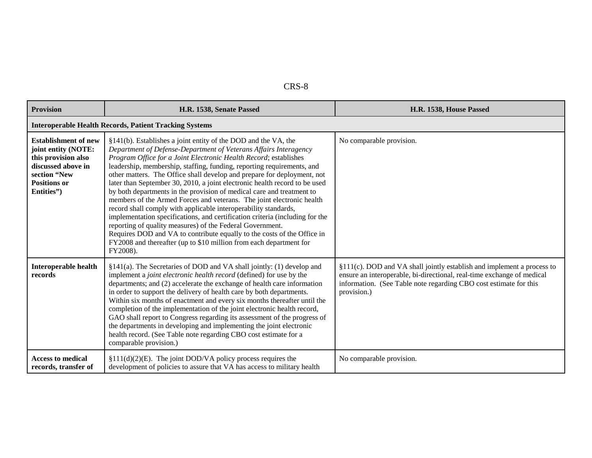| <b>Provision</b>                                                                                                                                     | H.R. 1538, Senate Passed                                                                                                                                                                                                                                                                                                                                                                                                                                                                                                                                                                                                                                                                                                                                                                                                                                                                                                                                                 | H.R. 1538, House Passed                                                                                                                                                                                                              |
|------------------------------------------------------------------------------------------------------------------------------------------------------|--------------------------------------------------------------------------------------------------------------------------------------------------------------------------------------------------------------------------------------------------------------------------------------------------------------------------------------------------------------------------------------------------------------------------------------------------------------------------------------------------------------------------------------------------------------------------------------------------------------------------------------------------------------------------------------------------------------------------------------------------------------------------------------------------------------------------------------------------------------------------------------------------------------------------------------------------------------------------|--------------------------------------------------------------------------------------------------------------------------------------------------------------------------------------------------------------------------------------|
|                                                                                                                                                      | <b>Interoperable Health Records, Patient Tracking Systems</b>                                                                                                                                                                                                                                                                                                                                                                                                                                                                                                                                                                                                                                                                                                                                                                                                                                                                                                            |                                                                                                                                                                                                                                      |
| <b>Establishment of new</b><br>joint entity (NOTE:<br>this provision also<br>discussed above in<br>section "New<br><b>Positions or</b><br>Entities") | §141(b). Establishes a joint entity of the DOD and the VA, the<br>Department of Defense-Department of Veterans Affairs Interagency<br>Program Office for a Joint Electronic Health Record; establishes<br>leadership, membership, staffing, funding, reporting requirements, and<br>other matters. The Office shall develop and prepare for deployment, not<br>later than September 30, 2010, a joint electronic health record to be used<br>by both departments in the provision of medical care and treatment to<br>members of the Armed Forces and veterans. The joint electronic health<br>record shall comply with applicable interoperability standards,<br>implementation specifications, and certification criteria (including for the<br>reporting of quality measures) of the Federal Government.<br>Requires DOD and VA to contribute equally to the costs of the Office in<br>FY2008 and thereafter (up to \$10 million from each department for<br>FY2008). | No comparable provision.                                                                                                                                                                                                             |
| <b>Interoperable health</b><br>records                                                                                                               | §141(a). The Secretaries of DOD and VA shall jointly: (1) develop and<br>implement a joint electronic health record (defined) for use by the<br>departments; and (2) accelerate the exchange of health care information<br>in order to support the delivery of health care by both departments.<br>Within six months of enactment and every six months thereafter until the<br>completion of the implementation of the joint electronic health record,<br>GAO shall report to Congress regarding its assessment of the progress of<br>the departments in developing and implementing the joint electronic<br>health record. (See Table note regarding CBO cost estimate for a<br>comparable provision.)                                                                                                                                                                                                                                                                  | §111(c). DOD and VA shall jointly establish and implement a process to<br>ensure an interoperable, bi-directional, real-time exchange of medical<br>information. (See Table note regarding CBO cost estimate for this<br>provision.) |
| <b>Access to medical</b><br>records, transfer of                                                                                                     | $$111(d)(2)(E)$ . The joint DOD/VA policy process requires the<br>development of policies to assure that VA has access to military health                                                                                                                                                                                                                                                                                                                                                                                                                                                                                                                                                                                                                                                                                                                                                                                                                                | No comparable provision.                                                                                                                                                                                                             |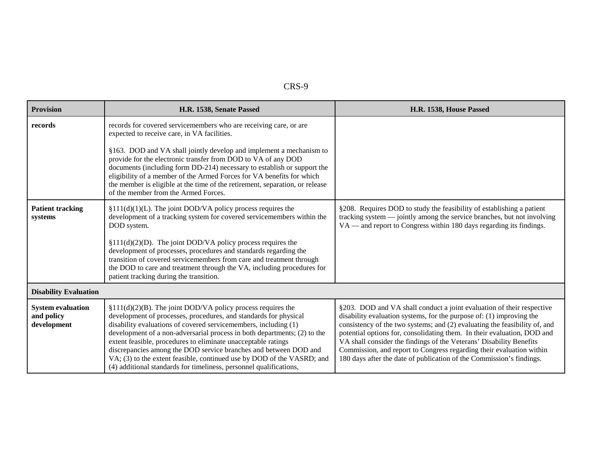| <b>Provision</b>                                      | H.R. 1538, Senate Passed                                                                                                                                                                                                                                                                                                                                                                                                                                                                                                                                               | H.R. 1538, House Passed                                                                                                                                                                                                                                                                                                                                                                                                                                                                                                         |
|-------------------------------------------------------|------------------------------------------------------------------------------------------------------------------------------------------------------------------------------------------------------------------------------------------------------------------------------------------------------------------------------------------------------------------------------------------------------------------------------------------------------------------------------------------------------------------------------------------------------------------------|---------------------------------------------------------------------------------------------------------------------------------------------------------------------------------------------------------------------------------------------------------------------------------------------------------------------------------------------------------------------------------------------------------------------------------------------------------------------------------------------------------------------------------|
| records                                               | records for covered servicemembers who are receiving care, or are<br>expected to receive care, in VA facilities.                                                                                                                                                                                                                                                                                                                                                                                                                                                       |                                                                                                                                                                                                                                                                                                                                                                                                                                                                                                                                 |
|                                                       | §163. DOD and VA shall jointly develop and implement a mechanism to<br>provide for the electronic transfer from DOD to VA of any DOD<br>documents (including form DD-214) necessary to establish or support the<br>eligibility of a member of the Armed Forces for VA benefits for which<br>the member is eligible at the time of the retirement, separation, or release<br>of the member from the Armed Forces.                                                                                                                                                       |                                                                                                                                                                                                                                                                                                                                                                                                                                                                                                                                 |
| <b>Patient tracking</b><br>systems                    | $$111(d)(1)(L)$ . The joint DOD/VA policy process requires the<br>development of a tracking system for covered servicemembers within the<br>DOD system.                                                                                                                                                                                                                                                                                                                                                                                                                | §208. Requires DOD to study the feasibility of establishing a patient<br>tracking system — jointly among the service branches, but not involving<br>VA — and report to Congress within 180 days regarding its findings.                                                                                                                                                                                                                                                                                                         |
|                                                       | $$111(d)(2)(D)$ . The joint DOD/VA policy process requires the<br>development of processes, procedures and standards regarding the<br>transition of covered servicemembers from care and treatment through<br>the DOD to care and treatment through the VA, including procedures for<br>patient tracking during the transition.                                                                                                                                                                                                                                        |                                                                                                                                                                                                                                                                                                                                                                                                                                                                                                                                 |
| <b>Disability Evaluation</b>                          |                                                                                                                                                                                                                                                                                                                                                                                                                                                                                                                                                                        |                                                                                                                                                                                                                                                                                                                                                                                                                                                                                                                                 |
| <b>System evaluation</b><br>and policy<br>development | $$111(d)(2)(B)$ . The joint DOD/VA policy process requires the<br>development of processes, procedures, and standards for physical<br>disability evaluations of covered servicemembers, including (1)<br>development of a non-adversarial process in both departments; (2) to the<br>extent feasible, procedures to eliminate unacceptable ratings<br>discrepancies among the DOD service branches and between DOD and<br>VA; (3) to the extent feasible, continued use by DOD of the VASRD; and<br>(4) additional standards for timeliness, personnel qualifications, | §203. DOD and VA shall conduct a joint evaluation of their respective<br>disability evaluation systems, for the purpose of: $(1)$ improving the<br>consistency of the two systems; and (2) evaluating the feasibility of, and<br>potential options for, consolidating them. In their evaluation, DOD and<br>VA shall consider the findings of the Veterans' Disability Benefits<br>Commission, and report to Congress regarding their evaluation within<br>180 days after the date of publication of the Commission's findings. |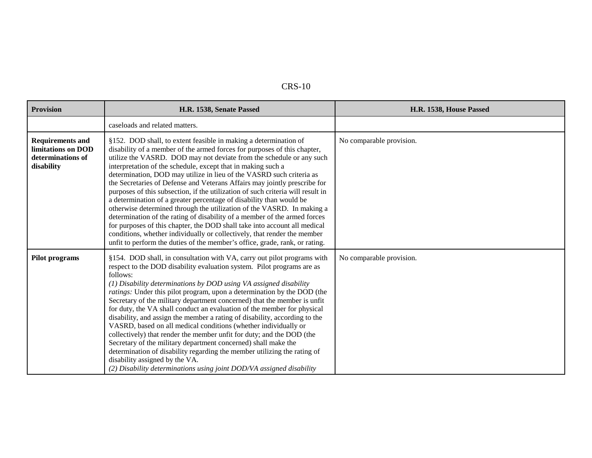| <b>Provision</b>                                                                 | H.R. 1538, Senate Passed                                                                                                                                                                                                                                                                                                                                                                                                                                                                                                                                                                                                                                                                                                                                                                                                                                                                                                                                                                           | H.R. 1538, House Passed  |
|----------------------------------------------------------------------------------|----------------------------------------------------------------------------------------------------------------------------------------------------------------------------------------------------------------------------------------------------------------------------------------------------------------------------------------------------------------------------------------------------------------------------------------------------------------------------------------------------------------------------------------------------------------------------------------------------------------------------------------------------------------------------------------------------------------------------------------------------------------------------------------------------------------------------------------------------------------------------------------------------------------------------------------------------------------------------------------------------|--------------------------|
|                                                                                  | caseloads and related matters.                                                                                                                                                                                                                                                                                                                                                                                                                                                                                                                                                                                                                                                                                                                                                                                                                                                                                                                                                                     |                          |
| <b>Requirements and</b><br>limitations on DOD<br>determinations of<br>disability | §152. DOD shall, to extent feasible in making a determination of<br>disability of a member of the armed forces for purposes of this chapter,<br>utilize the VASRD. DOD may not deviate from the schedule or any such<br>interpretation of the schedule, except that in making such a<br>determination, DOD may utilize in lieu of the VASRD such criteria as<br>the Secretaries of Defense and Veterans Affairs may jointly prescribe for<br>purposes of this subsection, if the utilization of such criteria will result in<br>a determination of a greater percentage of disability than would be<br>otherwise determined through the utilization of the VASRD. In making a<br>determination of the rating of disability of a member of the armed forces<br>for purposes of this chapter, the DOD shall take into account all medical<br>conditions, whether individually or collectively, that render the member<br>unfit to perform the duties of the member's office, grade, rank, or rating. | No comparable provision. |
| <b>Pilot programs</b>                                                            | §154. DOD shall, in consultation with VA, carry out pilot programs with<br>respect to the DOD disability evaluation system. Pilot programs are as<br>follows:<br>(1) Disability determinations by DOD using VA assigned disability<br>ratings: Under this pilot program, upon a determination by the DOD (the<br>Secretary of the military department concerned) that the member is unfit<br>for duty, the VA shall conduct an evaluation of the member for physical<br>disability, and assign the member a rating of disability, according to the<br>VASRD, based on all medical conditions (whether individually or<br>collectively) that render the member unfit for duty; and the DOD (the<br>Secretary of the military department concerned) shall make the<br>determination of disability regarding the member utilizing the rating of<br>disability assigned by the VA.<br>(2) Disability determinations using joint DOD/VA assigned disability                                             | No comparable provision. |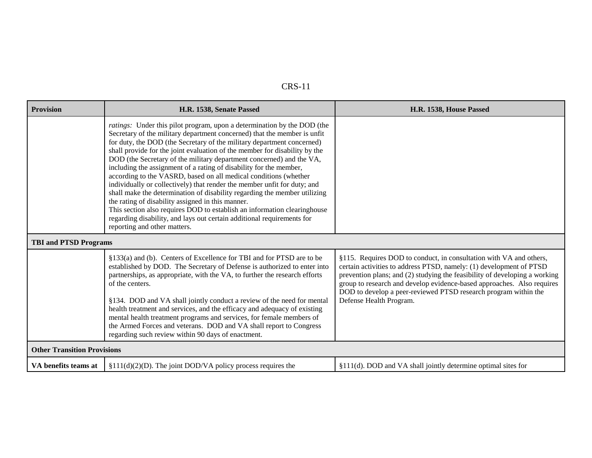| <b>Provision</b>                   | H.R. 1538, Senate Passed                                                                                                                                                                                                                                                                                                                                                                                                                                                                                                                                                                                                                                                                                                                                                                                                                                                                                                                  | H.R. 1538, House Passed                                                                                                                                                                                                                                                                                                                                                                         |
|------------------------------------|-------------------------------------------------------------------------------------------------------------------------------------------------------------------------------------------------------------------------------------------------------------------------------------------------------------------------------------------------------------------------------------------------------------------------------------------------------------------------------------------------------------------------------------------------------------------------------------------------------------------------------------------------------------------------------------------------------------------------------------------------------------------------------------------------------------------------------------------------------------------------------------------------------------------------------------------|-------------------------------------------------------------------------------------------------------------------------------------------------------------------------------------------------------------------------------------------------------------------------------------------------------------------------------------------------------------------------------------------------|
|                                    | <i>ratings</i> : Under this pilot program, upon a determination by the DOD (the<br>Secretary of the military department concerned) that the member is unfit<br>for duty, the DOD (the Secretary of the military department concerned)<br>shall provide for the joint evaluation of the member for disability by the<br>DOD (the Secretary of the military department concerned) and the VA,<br>including the assignment of a rating of disability for the member,<br>according to the VASRD, based on all medical conditions (whether<br>individually or collectively) that render the member unfit for duty; and<br>shall make the determination of disability regarding the member utilizing<br>the rating of disability assigned in this manner.<br>This section also requires DOD to establish an information clearinghouse<br>regarding disability, and lays out certain additional requirements for<br>reporting and other matters. |                                                                                                                                                                                                                                                                                                                                                                                                 |
| <b>TBI and PTSD Programs</b>       |                                                                                                                                                                                                                                                                                                                                                                                                                                                                                                                                                                                                                                                                                                                                                                                                                                                                                                                                           |                                                                                                                                                                                                                                                                                                                                                                                                 |
|                                    | §133(a) and (b). Centers of Excellence for TBI and for PTSD are to be<br>established by DOD. The Secretary of Defense is authorized to enter into<br>partnerships, as appropriate, with the VA, to further the research efforts<br>of the centers.<br>§134. DOD and VA shall jointly conduct a review of the need for mental<br>health treatment and services, and the efficacy and adequacy of existing<br>mental health treatment programs and services, for female members of<br>the Armed Forces and veterans. DOD and VA shall report to Congress<br>regarding such review within 90 days of enactment.                                                                                                                                                                                                                                                                                                                              | §115. Requires DOD to conduct, in consultation with VA and others,<br>certain activities to address PTSD, namely: (1) development of PTSD<br>prevention plans; and (2) studying the feasibility of developing a working<br>group to research and develop evidence-based approaches. Also requires<br>DOD to develop a peer-reviewed PTSD research program within the<br>Defense Health Program. |
| <b>Other Transition Provisions</b> |                                                                                                                                                                                                                                                                                                                                                                                                                                                                                                                                                                                                                                                                                                                                                                                                                                                                                                                                           |                                                                                                                                                                                                                                                                                                                                                                                                 |
| VA benefits teams at               | $$111(d)(2)(D)$ . The joint DOD/VA policy process requires the                                                                                                                                                                                                                                                                                                                                                                                                                                                                                                                                                                                                                                                                                                                                                                                                                                                                            | §111(d). DOD and VA shall jointly determine optimal sites for                                                                                                                                                                                                                                                                                                                                   |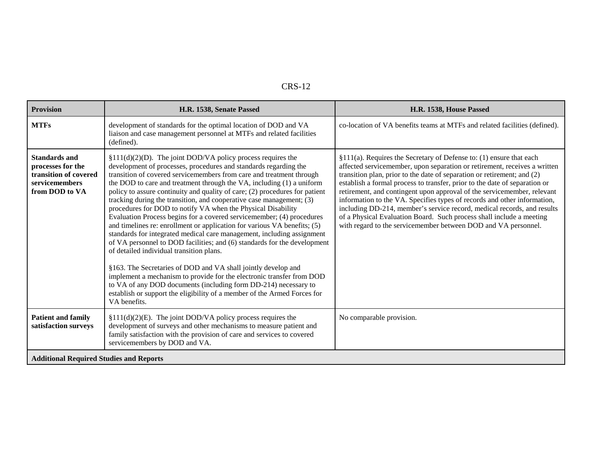| <b>Provision</b>                                                                                       | H.R. 1538, Senate Passed                                                                                                                                                                                                                                                                                                                                                                                                                                                                                                                                                                                                                                                                                                                                                                                                                                                                                                                                                                                                                                                                                                                                                   | H.R. 1538, House Passed                                                                                                                                                                                                                                                                                                                                                                                                                                                                                                                                                                                                                                                               |
|--------------------------------------------------------------------------------------------------------|----------------------------------------------------------------------------------------------------------------------------------------------------------------------------------------------------------------------------------------------------------------------------------------------------------------------------------------------------------------------------------------------------------------------------------------------------------------------------------------------------------------------------------------------------------------------------------------------------------------------------------------------------------------------------------------------------------------------------------------------------------------------------------------------------------------------------------------------------------------------------------------------------------------------------------------------------------------------------------------------------------------------------------------------------------------------------------------------------------------------------------------------------------------------------|---------------------------------------------------------------------------------------------------------------------------------------------------------------------------------------------------------------------------------------------------------------------------------------------------------------------------------------------------------------------------------------------------------------------------------------------------------------------------------------------------------------------------------------------------------------------------------------------------------------------------------------------------------------------------------------|
| <b>MTFs</b>                                                                                            | development of standards for the optimal location of DOD and VA<br>liaison and case management personnel at MTFs and related facilities<br>(defined).                                                                                                                                                                                                                                                                                                                                                                                                                                                                                                                                                                                                                                                                                                                                                                                                                                                                                                                                                                                                                      | co-location of VA benefits teams at MTFs and related facilities (defined).                                                                                                                                                                                                                                                                                                                                                                                                                                                                                                                                                                                                            |
| <b>Standards and</b><br>processes for the<br>transition of covered<br>servicemembers<br>from DOD to VA | $$111(d)(2)(D)$ . The joint DOD/VA policy process requires the<br>development of processes, procedures and standards regarding the<br>transition of covered servicemembers from care and treatment through<br>the DOD to care and treatment through the VA, including (1) a uniform<br>policy to assure continuity and quality of care; (2) procedures for patient<br>tracking during the transition, and cooperative case management; (3)<br>procedures for DOD to notify VA when the Physical Disability<br>Evaluation Process begins for a covered servicemember; (4) procedures<br>and timelines re: enrollment or application for various VA benefits; (5)<br>standards for integrated medical care management, including assignment<br>of VA personnel to DOD facilities; and (6) standards for the development<br>of detailed individual transition plans.<br>§163. The Secretaries of DOD and VA shall jointly develop and<br>implement a mechanism to provide for the electronic transfer from DOD<br>to VA of any DOD documents (including form DD-214) necessary to<br>establish or support the eligibility of a member of the Armed Forces for<br>VA benefits. | §111(a). Requires the Secretary of Defense to: (1) ensure that each<br>affected servicemember, upon separation or retirement, receives a written<br>transition plan, prior to the date of separation or retirement; and (2)<br>establish a formal process to transfer, prior to the date of separation or<br>retirement, and contingent upon approval of the servicemember, relevant<br>information to the VA. Specifies types of records and other information,<br>including DD-214, member's service record, medical records, and results<br>of a Physical Evaluation Board. Such process shall include a meeting<br>with regard to the servicemember between DOD and VA personnel. |
| <b>Patient and family</b><br>satisfaction surveys                                                      | $$111(d)(2)(E)$ . The joint DOD/VA policy process requires the<br>development of surveys and other mechanisms to measure patient and<br>family satisfaction with the provision of care and services to covered<br>servicemembers by DOD and VA.                                                                                                                                                                                                                                                                                                                                                                                                                                                                                                                                                                                                                                                                                                                                                                                                                                                                                                                            | No comparable provision.                                                                                                                                                                                                                                                                                                                                                                                                                                                                                                                                                                                                                                                              |
| <b>Additional Required Studies and Reports</b>                                                         |                                                                                                                                                                                                                                                                                                                                                                                                                                                                                                                                                                                                                                                                                                                                                                                                                                                                                                                                                                                                                                                                                                                                                                            |                                                                                                                                                                                                                                                                                                                                                                                                                                                                                                                                                                                                                                                                                       |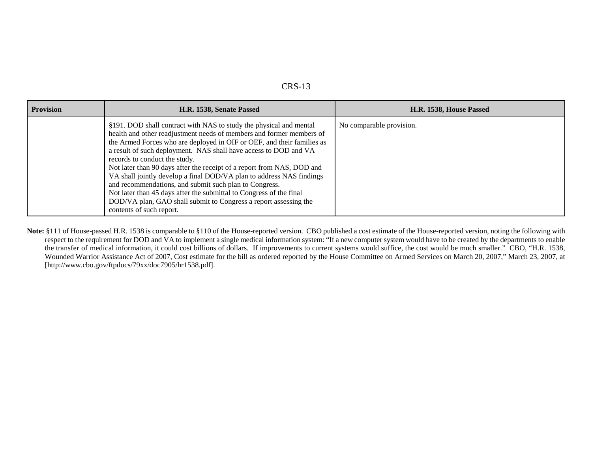| <b>Provision</b> | H.R. 1538, Senate Passed                                                                                                                                                                                                                                                                                                                                                                                                                                                                                                                                                                                                                                                                                     | H.R. 1538, House Passed  |
|------------------|--------------------------------------------------------------------------------------------------------------------------------------------------------------------------------------------------------------------------------------------------------------------------------------------------------------------------------------------------------------------------------------------------------------------------------------------------------------------------------------------------------------------------------------------------------------------------------------------------------------------------------------------------------------------------------------------------------------|--------------------------|
|                  | §191. DOD shall contract with NAS to study the physical and mental<br>health and other readjustment needs of members and former members of<br>the Armed Forces who are deployed in OIF or OEF, and their families as<br>a result of such deployment. NAS shall have access to DOD and VA<br>records to conduct the study.<br>Not later than 90 days after the receipt of a report from NAS, DOD and<br>VA shall jointly develop a final DOD/VA plan to address NAS findings<br>and recommendations, and submit such plan to Congress.<br>Not later than 45 days after the submittal to Congress of the final<br>DOD/VA plan, GAO shall submit to Congress a report assessing the<br>contents of such report. | No comparable provision. |

**Note:** §111 of House-passed H.R. 1538 is comparable to §110 of the House-reported version. CBO published a cost estimate of the House-reported version, noting the following with respect to the requirement for DOD and VA to implement a single medical information system: "If a new computer system would have to be created by the departments to enable the transfer of medical information, it could cost billions of dollars. If improvements to current systems would suffice, the cost would be much smaller." CBO, "H.R. 1538, Wounded Warrior Assistance Act of 2007, Cost estimate for the bill as ordered reported by the House Committee on Armed Services on March 20, 2007," March 23, 2007, at [http://www.cbo.gov/ftpdocs/79xx/doc7905/hr1538.pdf].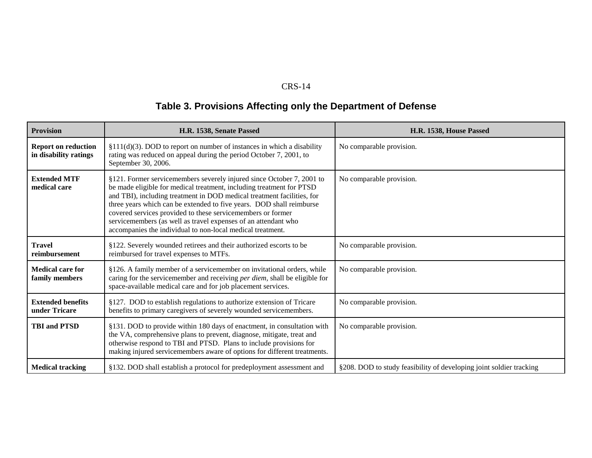# **Table 3. Provisions Affecting only the Department of Defense**

| <b>Provision</b>                                    | H.R. 1538, Senate Passed                                                                                                                                                                                                                                                                                                                                                                                                                                                                       | H.R. 1538, House Passed                                             |
|-----------------------------------------------------|------------------------------------------------------------------------------------------------------------------------------------------------------------------------------------------------------------------------------------------------------------------------------------------------------------------------------------------------------------------------------------------------------------------------------------------------------------------------------------------------|---------------------------------------------------------------------|
| <b>Report on reduction</b><br>in disability ratings | $$111(d)(3)$ . DOD to report on number of instances in which a disability<br>rating was reduced on appeal during the period October 7, 2001, to<br>September 30, 2006.                                                                                                                                                                                                                                                                                                                         | No comparable provision.                                            |
| <b>Extended MTF</b><br>medical care                 | §121. Former servicemembers severely injured since October 7, 2001 to<br>be made eligible for medical treatment, including treatment for PTSD<br>and TBI), including treatment in DOD medical treatment facilities, for<br>three years which can be extended to five years. DOD shall reimburse<br>covered services provided to these servicemembers or former<br>servicemembers (as well as travel expenses of an attendant who<br>accompanies the individual to non-local medical treatment. | No comparable provision.                                            |
| <b>Travel</b><br>reimbursement                      | §122. Severely wounded retirees and their authorized escorts to be<br>reimbursed for travel expenses to MTFs.                                                                                                                                                                                                                                                                                                                                                                                  | No comparable provision.                                            |
| <b>Medical care for</b><br>family members           | §126. A family member of a servicemember on invitational orders, while<br>caring for the servicemember and receiving per diem, shall be eligible for<br>space-available medical care and for job placement services.                                                                                                                                                                                                                                                                           | No comparable provision.                                            |
| <b>Extended benefits</b><br>under Tricare           | §127. DOD to establish regulations to authorize extension of Tricare<br>benefits to primary caregivers of severely wounded servicemembers.                                                                                                                                                                                                                                                                                                                                                     | No comparable provision.                                            |
| <b>TBI</b> and <b>PTSD</b>                          | §131. DOD to provide within 180 days of enactment, in consultation with<br>the VA, comprehensive plans to prevent, diagnose, mitigate, treat and<br>otherwise respond to TBI and PTSD. Plans to include provisions for<br>making injured servicemembers aware of options for different treatments.                                                                                                                                                                                             | No comparable provision.                                            |
| <b>Medical tracking</b>                             | §132. DOD shall establish a protocol for predeployment assessment and                                                                                                                                                                                                                                                                                                                                                                                                                          | §208. DOD to study feasibility of developing joint soldier tracking |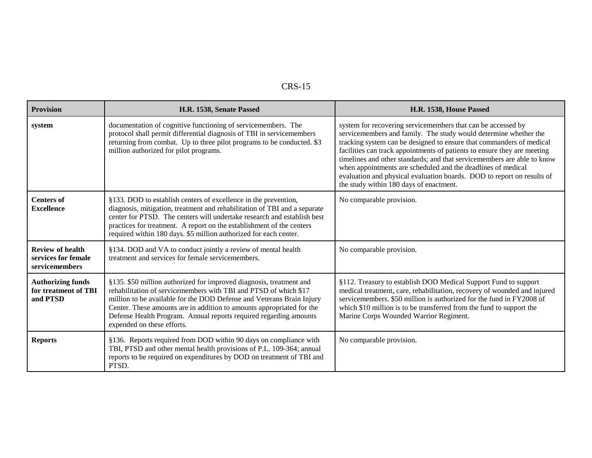| <b>Provision</b>                                                 | H.R. 1538, Senate Passed                                                                                                                                                                                                                                                                                                                                                                     | H.R. 1538, House Passed                                                                                                                                                                                                                                                                                                                                                                                                                                                                                                                              |
|------------------------------------------------------------------|----------------------------------------------------------------------------------------------------------------------------------------------------------------------------------------------------------------------------------------------------------------------------------------------------------------------------------------------------------------------------------------------|------------------------------------------------------------------------------------------------------------------------------------------------------------------------------------------------------------------------------------------------------------------------------------------------------------------------------------------------------------------------------------------------------------------------------------------------------------------------------------------------------------------------------------------------------|
| system                                                           | documentation of cognitive functioning of servicemembers. The<br>protocol shall permit differential diagnosis of TBI in servicemembers<br>returning from combat. Up to three pilot programs to be conducted. \$3<br>million authorized for pilot programs.                                                                                                                                   | system for recovering servicemembers that can be accessed by<br>servicemembers and family. The study would determine whether the<br>tracking system can be designed to ensure that commanders of medical<br>facilities can track appointments of patients to ensure they are meeting<br>timelines and other standards; and that servicemembers are able to know<br>when appointments are scheduled and the deadlines of medical<br>evaluation and physical evaluation boards. DOD to report on results of<br>the study within 180 days of enactment. |
| <b>Centers of</b><br><b>Excellence</b>                           | §133. DOD to establish centers of excellence in the prevention,<br>diagnosis, mitigation, treatment and rehabilitation of TBI and a separate<br>center for PTSD. The centers will undertake research and establish best<br>practices for treatment. A report on the establishment of the centers<br>required within 180 days. \$5 million authorized for each center.                        | No comparable provision.                                                                                                                                                                                                                                                                                                                                                                                                                                                                                                                             |
| <b>Review of health</b><br>services for female<br>servicemembers | §134. DOD and VA to conduct jointly a review of mental health<br>treatment and services for female servicemembers.                                                                                                                                                                                                                                                                           | No comparable provision.                                                                                                                                                                                                                                                                                                                                                                                                                                                                                                                             |
| <b>Authorizing funds</b><br>for treatment of TBI<br>and PTSD     | §135. \$50 million authorized for improved diagnosis, treatment and<br>rehabilitation of servicemembers with TBI and PTSD of which \$17<br>million to be available for the DOD Defense and Veterans Brain Injury<br>Center. These amounts are in addition to amounts appropriated for the<br>Defense Health Program. Annual reports required regarding amounts<br>expended on these efforts. | §112. Treasury to establish DOD Medical Support Fund to support<br>medical treatment, care, rehabilitation, recovery of wounded and injured<br>servicemembers. \$50 million is authorized for the fund in FY2008 of<br>which \$10 million is to be transferred from the fund to support the<br>Marine Corps Wounded Warrior Regiment.                                                                                                                                                                                                                |
| <b>Reports</b>                                                   | §136. Reports required from DOD within 90 days on compliance with<br>TBI, PTSD and other mental health provisions of P.L. 109-364; annual<br>reports to be required on expenditures by DOD on treatment of TBI and<br>PTSD.                                                                                                                                                                  | No comparable provision.                                                                                                                                                                                                                                                                                                                                                                                                                                                                                                                             |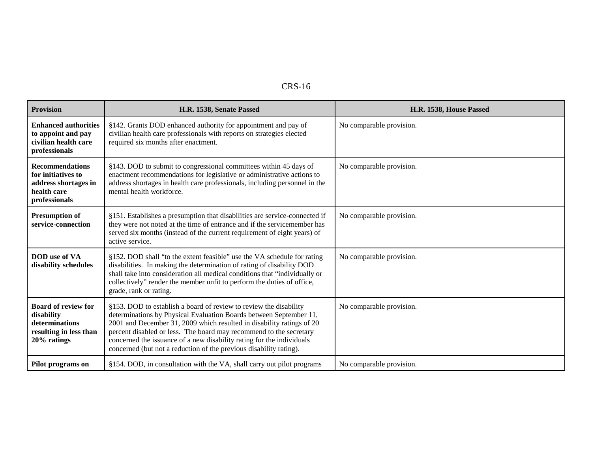| <b>Provision</b>                                                                                     | H.R. 1538, Senate Passed                                                                                                                                                                                                                                                                                                                                                                                                              | H.R. 1538, House Passed  |
|------------------------------------------------------------------------------------------------------|---------------------------------------------------------------------------------------------------------------------------------------------------------------------------------------------------------------------------------------------------------------------------------------------------------------------------------------------------------------------------------------------------------------------------------------|--------------------------|
| <b>Enhanced authorities</b><br>to appoint and pay<br>civilian health care<br>professionals           | §142. Grants DOD enhanced authority for appointment and pay of<br>civilian health care professionals with reports on strategies elected<br>required six months after enactment.                                                                                                                                                                                                                                                       | No comparable provision. |
| <b>Recommendations</b><br>for initiatives to<br>address shortages in<br>health care<br>professionals | §143. DOD to submit to congressional committees within 45 days of<br>enactment recommendations for legislative or administrative actions to<br>address shortages in health care professionals, including personnel in the<br>mental health workforce.                                                                                                                                                                                 | No comparable provision. |
| <b>Presumption of</b><br>service-connection                                                          | §151. Establishes a presumption that disabilities are service-connected if<br>they were not noted at the time of entrance and if the servicemember has<br>served six months (instead of the current requirement of eight years) of<br>active service.                                                                                                                                                                                 | No comparable provision. |
| <b>DOD</b> use of VA<br>disability schedules                                                         | §152. DOD shall "to the extent feasible" use the VA schedule for rating<br>disabilities. In making the determination of rating of disability DOD<br>shall take into consideration all medical conditions that "individually or<br>collectively" render the member unfit to perform the duties of office,<br>grade, rank or rating.                                                                                                    | No comparable provision. |
| <b>Board of review for</b><br>disability<br>determinations<br>resulting in less than<br>20% ratings  | §153. DOD to establish a board of review to review the disability<br>determinations by Physical Evaluation Boards between September 11,<br>2001 and December 31, 2009 which resulted in disability ratings of 20<br>percent disabled or less. The board may recommend to the secretary<br>concerned the issuance of a new disability rating for the individuals<br>concerned (but not a reduction of the previous disability rating). | No comparable provision. |
| Pilot programs on                                                                                    | §154. DOD, in consultation with the VA, shall carry out pilot programs                                                                                                                                                                                                                                                                                                                                                                | No comparable provision. |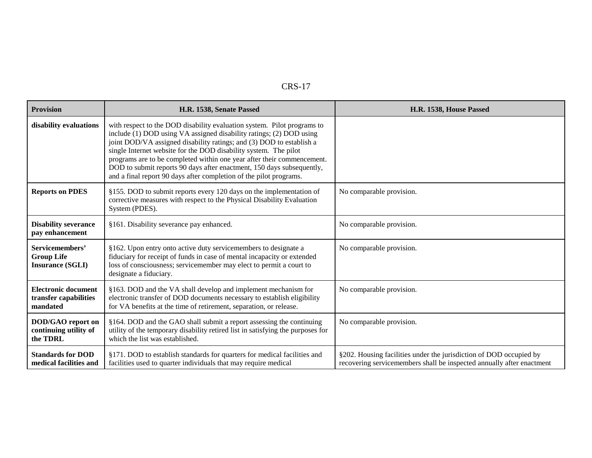| <b>Provision</b>                                                | H.R. 1538, Senate Passed                                                                                                                                                                                                                                                                                                                                                                                                                                                                                            | H.R. 1538, House Passed                                                                                                                     |
|-----------------------------------------------------------------|---------------------------------------------------------------------------------------------------------------------------------------------------------------------------------------------------------------------------------------------------------------------------------------------------------------------------------------------------------------------------------------------------------------------------------------------------------------------------------------------------------------------|---------------------------------------------------------------------------------------------------------------------------------------------|
| disability evaluations                                          | with respect to the DOD disability evaluation system. Pilot programs to<br>include (1) DOD using VA assigned disability ratings; (2) DOD using<br>joint DOD/VA assigned disability ratings; and (3) DOD to establish a<br>single Internet website for the DOD disability system. The pilot<br>programs are to be completed within one year after their commencement.<br>DOD to submit reports 90 days after enactment, 150 days subsequently,<br>and a final report 90 days after completion of the pilot programs. |                                                                                                                                             |
| <b>Reports on PDES</b>                                          | §155. DOD to submit reports every 120 days on the implementation of<br>corrective measures with respect to the Physical Disability Evaluation<br>System (PDES).                                                                                                                                                                                                                                                                                                                                                     | No comparable provision.                                                                                                                    |
| <b>Disability severance</b><br>pay enhancement                  | §161. Disability severance pay enhanced.                                                                                                                                                                                                                                                                                                                                                                                                                                                                            | No comparable provision.                                                                                                                    |
| Servicemembers'<br><b>Group Life</b><br><b>Insurance (SGLI)</b> | §162. Upon entry onto active duty servicemembers to designate a<br>fiduciary for receipt of funds in case of mental incapacity or extended<br>loss of consciousness; servicemember may elect to permit a court to<br>designate a fiduciary.                                                                                                                                                                                                                                                                         | No comparable provision.                                                                                                                    |
| <b>Electronic document</b><br>transfer capabilities<br>mandated | §163. DOD and the VA shall develop and implement mechanism for<br>electronic transfer of DOD documents necessary to establish eligibility<br>for VA benefits at the time of retirement, separation, or release.                                                                                                                                                                                                                                                                                                     | No comparable provision.                                                                                                                    |
| DOD/GAO report on<br>continuing utility of<br>the TDRL          | §164. DOD and the GAO shall submit a report assessing the continuing<br>utility of the temporary disability retired list in satisfying the purposes for<br>which the list was established.                                                                                                                                                                                                                                                                                                                          | No comparable provision.                                                                                                                    |
| <b>Standards for DOD</b><br>medical facilities and              | §171. DOD to establish standards for quarters for medical facilities and<br>facilities used to quarter individuals that may require medical                                                                                                                                                                                                                                                                                                                                                                         | §202. Housing facilities under the jurisdiction of DOD occupied by<br>recovering servicemembers shall be inspected annually after enactment |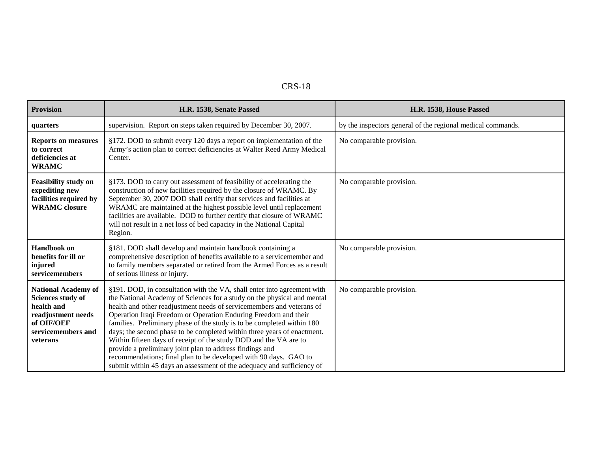| <b>Provision</b>                                                                                                                    | H.R. 1538, Senate Passed                                                                                                                                                                                                                                                                                                                                                                                                                                                                                                                                                                                                                                                                                                           | H.R. 1538, House Passed                                     |
|-------------------------------------------------------------------------------------------------------------------------------------|------------------------------------------------------------------------------------------------------------------------------------------------------------------------------------------------------------------------------------------------------------------------------------------------------------------------------------------------------------------------------------------------------------------------------------------------------------------------------------------------------------------------------------------------------------------------------------------------------------------------------------------------------------------------------------------------------------------------------------|-------------------------------------------------------------|
| quarters                                                                                                                            | supervision. Report on steps taken required by December 30, 2007.                                                                                                                                                                                                                                                                                                                                                                                                                                                                                                                                                                                                                                                                  | by the inspectors general of the regional medical commands. |
| <b>Reports on measures</b><br>to correct<br>deficiencies at<br><b>WRAMC</b>                                                         | §172. DOD to submit every 120 days a report on implementation of the<br>Army's action plan to correct deficiencies at Walter Reed Army Medical<br>Center.                                                                                                                                                                                                                                                                                                                                                                                                                                                                                                                                                                          | No comparable provision.                                    |
| <b>Feasibility study on</b><br>expediting new<br>facilities required by<br><b>WRAMC</b> closure                                     | §173. DOD to carry out assessment of feasibility of accelerating the<br>construction of new facilities required by the closure of WRAMC. By<br>September 30, 2007 DOD shall certify that services and facilities at<br>WRAMC are maintained at the highest possible level until replacement<br>facilities are available. DOD to further certify that closure of WRAMC<br>will not result in a net loss of bed capacity in the National Capital<br>Region.                                                                                                                                                                                                                                                                          | No comparable provision.                                    |
| <b>Handbook</b> on<br>benefits for ill or<br>injured<br>servicemembers                                                              | §181. DOD shall develop and maintain handbook containing a<br>comprehensive description of benefits available to a servicemember and<br>to family members separated or retired from the Armed Forces as a result<br>of serious illness or injury.                                                                                                                                                                                                                                                                                                                                                                                                                                                                                  | No comparable provision.                                    |
| <b>National Academy of</b><br>Sciences study of<br>health and<br>readjustment needs<br>of OIF/OEF<br>servicemembers and<br>veterans | §191. DOD, in consultation with the VA, shall enter into agreement with<br>the National Academy of Sciences for a study on the physical and mental<br>health and other readjustment needs of servicemembers and veterans of<br>Operation Iraqi Freedom or Operation Enduring Freedom and their<br>families. Preliminary phase of the study is to be completed within 180<br>days; the second phase to be completed within three years of enactment.<br>Within fifteen days of receipt of the study DOD and the VA are to<br>provide a preliminary joint plan to address findings and<br>recommendations; final plan to be developed with 90 days. GAO to<br>submit within 45 days an assessment of the adequacy and sufficiency of | No comparable provision.                                    |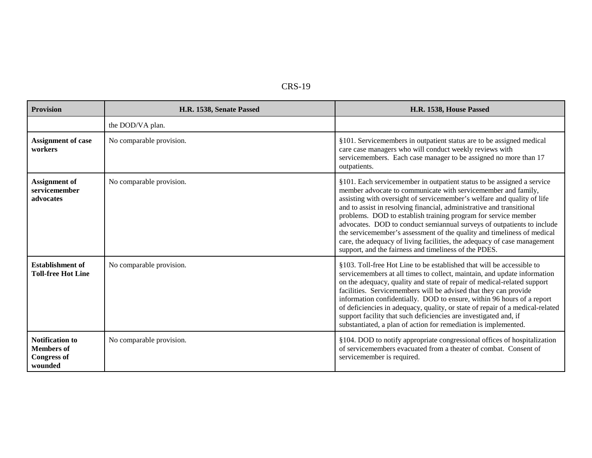| י<br>. . |  | K. |
|----------|--|----|
|----------|--|----|

| <b>Provision</b>                                                             | H.R. 1538, Senate Passed | H.R. 1538, House Passed                                                                                                                                                                                                                                                                                                                                                                                                                                                                                                                                                                                                                                 |
|------------------------------------------------------------------------------|--------------------------|---------------------------------------------------------------------------------------------------------------------------------------------------------------------------------------------------------------------------------------------------------------------------------------------------------------------------------------------------------------------------------------------------------------------------------------------------------------------------------------------------------------------------------------------------------------------------------------------------------------------------------------------------------|
|                                                                              | the DOD/VA plan.         |                                                                                                                                                                                                                                                                                                                                                                                                                                                                                                                                                                                                                                                         |
| <b>Assignment of case</b><br>workers                                         | No comparable provision. | §101. Servicemembers in outpatient status are to be assigned medical<br>care case managers who will conduct weekly reviews with<br>servicemembers. Each case manager to be assigned no more than 17<br>outpatients.                                                                                                                                                                                                                                                                                                                                                                                                                                     |
| <b>Assignment</b> of<br>servicemember<br>advocates                           | No comparable provision. | §101. Each servicemember in outpatient status to be assigned a service<br>member advocate to communicate with servicemember and family,<br>assisting with oversight of servicemember's welfare and quality of life<br>and to assist in resolving financial, administrative and transitional<br>problems. DOD to establish training program for service member<br>advocates. DOD to conduct semiannual surveys of outpatients to include<br>the servicemember's assessment of the quality and timeliness of medical<br>care, the adequacy of living facilities, the adequacy of case management<br>support, and the fairness and timeliness of the PDES. |
| <b>Establishment of</b><br><b>Toll-free Hot Line</b>                         | No comparable provision. | §103. Toll-free Hot Line to be established that will be accessible to<br>servicemembers at all times to collect, maintain, and update information<br>on the adequacy, quality and state of repair of medical-related support<br>facilities. Servicemembers will be advised that they can provide<br>information confidentially. DOD to ensure, within 96 hours of a report<br>of deficiencies in adequacy, quality, or state of repair of a medical-related<br>support facility that such deficiencies are investigated and, if<br>substantiated, a plan of action for remediation is implemented.                                                      |
| <b>Notification to</b><br><b>Members of</b><br><b>Congress of</b><br>wounded | No comparable provision. | §104. DOD to notify appropriate congressional offices of hospitalization<br>of servicemembers evacuated from a theater of combat. Consent of<br>servicemember is required.                                                                                                                                                                                                                                                                                                                                                                                                                                                                              |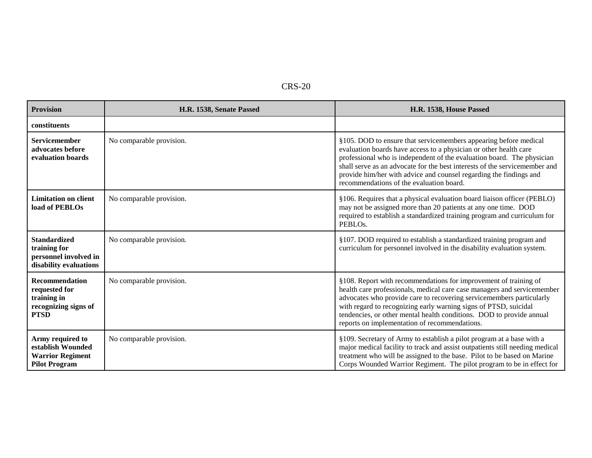| <b>Provision</b>                                                                             | H.R. 1538, Senate Passed | H.R. 1538, House Passed                                                                                                                                                                                                                                                                                                                                                                                          |
|----------------------------------------------------------------------------------------------|--------------------------|------------------------------------------------------------------------------------------------------------------------------------------------------------------------------------------------------------------------------------------------------------------------------------------------------------------------------------------------------------------------------------------------------------------|
| constituents                                                                                 |                          |                                                                                                                                                                                                                                                                                                                                                                                                                  |
| Servicemember<br>advocates before<br>evaluation boards                                       | No comparable provision. | §105. DOD to ensure that servicemembers appearing before medical<br>evaluation boards have access to a physician or other health care<br>professional who is independent of the evaluation board. The physician<br>shall serve as an advocate for the best interests of the servicemember and<br>provide him/her with advice and counsel regarding the findings and<br>recommendations of the evaluation board.  |
| <b>Limitation on client</b><br>load of PEBLOs                                                | No comparable provision. | §106. Requires that a physical evaluation board liaison officer (PEBLO)<br>may not be assigned more than 20 patients at any one time. DOD<br>required to establish a standardized training program and curriculum for<br>PEBLO <sub>s</sub> .                                                                                                                                                                    |
| <b>Standardized</b><br>training for<br>personnel involved in<br>disability evaluations       | No comparable provision. | §107. DOD required to establish a standardized training program and<br>curriculum for personnel involved in the disability evaluation system.                                                                                                                                                                                                                                                                    |
| <b>Recommendation</b><br>requested for<br>training in<br>recognizing signs of<br><b>PTSD</b> | No comparable provision. | §108. Report with recommendations for improvement of training of<br>health care professionals, medical care case managers and servicemember<br>advocates who provide care to recovering servicemembers particularly<br>with regard to recognizing early warning signs of PTSD, suicidal<br>tendencies, or other mental health conditions. DOD to provide annual<br>reports on implementation of recommendations. |
| Army required to<br>establish Wounded<br><b>Warrior Regiment</b><br><b>Pilot Program</b>     | No comparable provision. | §109. Secretary of Army to establish a pilot program at a base with a<br>major medical facility to track and assist outpatients still needing medical<br>treatment who will be assigned to the base. Pilot to be based on Marine<br>Corps Wounded Warrior Regiment. The pilot program to be in effect for                                                                                                        |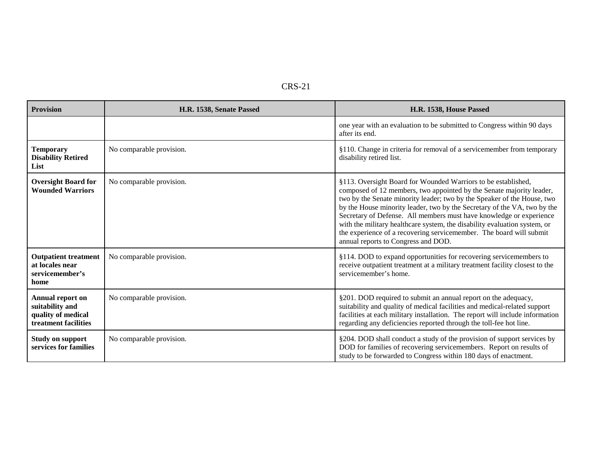| <b>Provision</b>                                                                         | H.R. 1538, Senate Passed | H.R. 1538, House Passed                                                                                                                                                                                                                                                                                                                                                                                                                                                                                                                                        |
|------------------------------------------------------------------------------------------|--------------------------|----------------------------------------------------------------------------------------------------------------------------------------------------------------------------------------------------------------------------------------------------------------------------------------------------------------------------------------------------------------------------------------------------------------------------------------------------------------------------------------------------------------------------------------------------------------|
|                                                                                          |                          | one year with an evaluation to be submitted to Congress within 90 days<br>after its end.                                                                                                                                                                                                                                                                                                                                                                                                                                                                       |
| <b>Temporary</b><br><b>Disability Retired</b><br>List                                    | No comparable provision. | §110. Change in criteria for removal of a servicemember from temporary<br>disability retired list.                                                                                                                                                                                                                                                                                                                                                                                                                                                             |
| <b>Oversight Board for</b><br><b>Wounded Warriors</b>                                    | No comparable provision. | §113. Oversight Board for Wounded Warriors to be established,<br>composed of 12 members, two appointed by the Senate majority leader,<br>two by the Senate minority leader; two by the Speaker of the House, two<br>by the House minority leader, two by the Secretary of the VA, two by the<br>Secretary of Defense. All members must have knowledge or experience<br>with the military healthcare system, the disability evaluation system, or<br>the experience of a recovering servicemember. The board will submit<br>annual reports to Congress and DOD. |
| <b>Outpatient treatment</b><br>at locales near<br>servicemember's<br>home                | No comparable provision. | §114. DOD to expand opportunities for recovering servicemembers to<br>receive outpatient treatment at a military treatment facility closest to the<br>servicemember's home.                                                                                                                                                                                                                                                                                                                                                                                    |
| <b>Annual report on</b><br>suitability and<br>quality of medical<br>treatment facilities | No comparable provision. | §201. DOD required to submit an annual report on the adequacy,<br>suitability and quality of medical facilities and medical-related support<br>facilities at each military installation. The report will include information<br>regarding any deficiencies reported through the toll-fee hot line.                                                                                                                                                                                                                                                             |
| <b>Study on support</b><br>services for families                                         | No comparable provision. | §204. DOD shall conduct a study of the provision of support services by<br>DOD for families of recovering servicemembers. Report on results of<br>study to be forwarded to Congress within 180 days of enactment.                                                                                                                                                                                                                                                                                                                                              |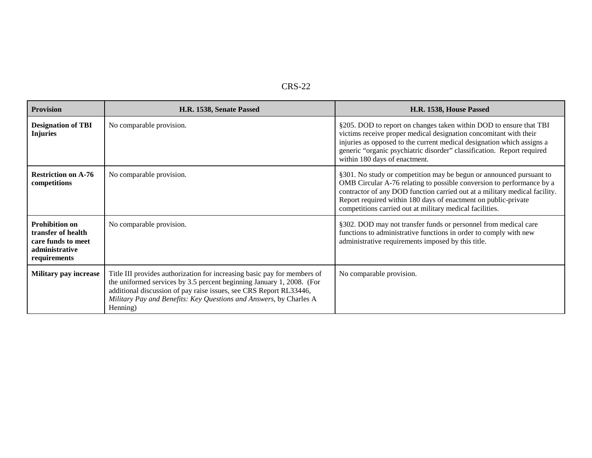| <b>Provision</b>                                                                                    | H.R. 1538, Senate Passed                                                                                                                                                                                                                                                                                  | H.R. 1538, House Passed                                                                                                                                                                                                                                                                                                                                  |
|-----------------------------------------------------------------------------------------------------|-----------------------------------------------------------------------------------------------------------------------------------------------------------------------------------------------------------------------------------------------------------------------------------------------------------|----------------------------------------------------------------------------------------------------------------------------------------------------------------------------------------------------------------------------------------------------------------------------------------------------------------------------------------------------------|
| <b>Designation of TBI</b><br><b>Injuries</b>                                                        | No comparable provision.                                                                                                                                                                                                                                                                                  | §205. DOD to report on changes taken within DOD to ensure that TBI<br>victims receive proper medical designation concomitant with their<br>injuries as opposed to the current medical designation which assigns a<br>generic "organic psychiatric disorder" classification. Report required<br>within 180 days of enactment.                             |
| <b>Restriction on A-76</b><br>competitions                                                          | No comparable provision.                                                                                                                                                                                                                                                                                  | §301. No study or competition may be begun or announced pursuant to<br>OMB Circular A-76 relating to possible conversion to performance by a<br>contractor of any DOD function carried out at a military medical facility.<br>Report required within 180 days of enactment on public-private<br>competitions carried out at military medical facilities. |
| <b>Prohibition on</b><br>transfer of health<br>care funds to meet<br>administrative<br>requirements | No comparable provision.                                                                                                                                                                                                                                                                                  | §302. DOD may not transfer funds or personnel from medical care<br>functions to administrative functions in order to comply with new<br>administrative requirements imposed by this title.                                                                                                                                                               |
| <b>Military pay increase</b>                                                                        | Title III provides authorization for increasing basic pay for members of<br>the uniformed services by 3.5 percent beginning January 1, 2008. (For<br>additional discussion of pay raise issues, see CRS Report RL33446,<br>Military Pay and Benefits: Key Questions and Answers, by Charles A<br>Henning) | No comparable provision.                                                                                                                                                                                                                                                                                                                                 |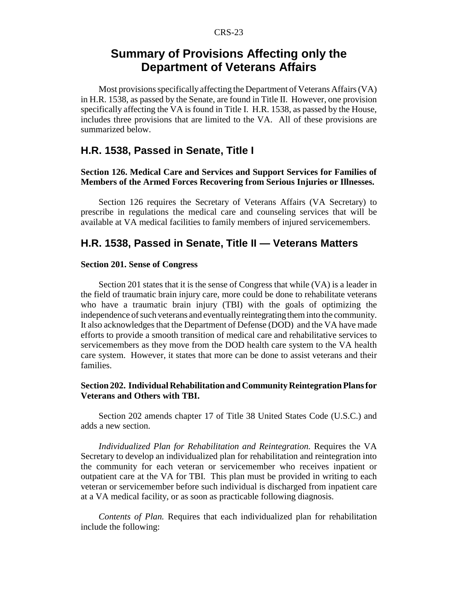# **Summary of Provisions Affecting only the Department of Veterans Affairs**

Most provisions specifically affecting the Department of Veterans Affairs (VA) in H.R. 1538, as passed by the Senate, are found in Title II. However, one provision specifically affecting the VA is found in Title I. H.R. 1538, as passed by the House, includes three provisions that are limited to the VA. All of these provisions are summarized below.

#### **H.R. 1538, Passed in Senate, Title I**

#### **Section 126. Medical Care and Services and Support Services for Families of Members of the Armed Forces Recovering from Serious Injuries or Illnesses.**

Section 126 requires the Secretary of Veterans Affairs (VA Secretary) to prescribe in regulations the medical care and counseling services that will be available at VA medical facilities to family members of injured servicemembers.

#### **H.R. 1538, Passed in Senate, Title II — Veterans Matters**

#### **Section 201. Sense of Congress**

Section 201 states that it is the sense of Congress that while (VA) is a leader in the field of traumatic brain injury care, more could be done to rehabilitate veterans who have a traumatic brain injury (TBI) with the goals of optimizing the independence of such veterans and eventually reintegrating them into the community. It also acknowledges that the Department of Defense (DOD) and the VA have made efforts to provide a smooth transition of medical care and rehabilitative services to servicemembers as they move from the DOD health care system to the VA health care system. However, it states that more can be done to assist veterans and their families.

#### **Section 202. Individual Rehabilitation and Community Reintegration Plans for Veterans and Others with TBI.**

Section 202 amends chapter 17 of Title 38 United States Code (U.S.C.) and adds a new section.

*Individualized Plan for Rehabilitation and Reintegration.* Requires the VA Secretary to develop an individualized plan for rehabilitation and reintegration into the community for each veteran or servicemember who receives inpatient or outpatient care at the VA for TBI. This plan must be provided in writing to each veteran or servicemember before such individual is discharged from inpatient care at a VA medical facility, or as soon as practicable following diagnosis.

*Contents of Plan.* Requires that each individualized plan for rehabilitation include the following: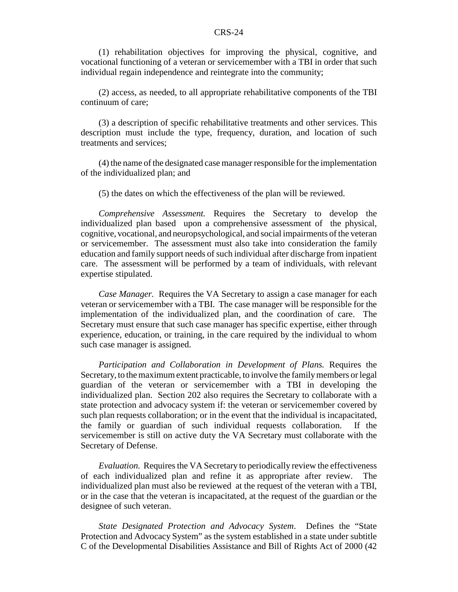(1) rehabilitation objectives for improving the physical, cognitive, and vocational functioning of a veteran or servicemember with a TBI in order that such individual regain independence and reintegrate into the community;

(2) access, as needed, to all appropriate rehabilitative components of the TBI continuum of care;

(3) a description of specific rehabilitative treatments and other services. This description must include the type, frequency, duration, and location of such treatments and services;

(4) the name of the designated case manager responsible for the implementation of the individualized plan; and

(5) the dates on which the effectiveness of the plan will be reviewed.

*Comprehensive Assessment.* Requires the Secretary to develop the individualized plan based upon a comprehensive assessment of the physical, cognitive, vocational, and neuropsychological, and social impairments of the veteran or servicemember. The assessment must also take into consideration the family education and family support needs of such individual after discharge from inpatient care. The assessment will be performed by a team of individuals, with relevant expertise stipulated.

*Case Manager.* Requires the VA Secretary to assign a case manager for each veteran or servicemember with a TBI. The case manager will be responsible for the implementation of the individualized plan, and the coordination of care. The Secretary must ensure that such case manager has specific expertise, either through experience, education, or training, in the care required by the individual to whom such case manager is assigned.

*Participation and Collaboration in Development of Plans.* Requires the Secretary, to the maximum extent practicable, to involve the family members or legal guardian of the veteran or servicemember with a TBI in developing the individualized plan. Section 202 also requires the Secretary to collaborate with a state protection and advocacy system if: the veteran or servicemember covered by such plan requests collaboration; or in the event that the individual is incapacitated, the family or guardian of such individual requests collaboration. If the servicemember is still on active duty the VA Secretary must collaborate with the Secretary of Defense.

*Evaluation.* Requires the VA Secretary to periodically review the effectiveness of each individualized plan and refine it as appropriate after review. The individualized plan must also be reviewed at the request of the veteran with a TBI, or in the case that the veteran is incapacitated, at the request of the guardian or the designee of such veteran.

*State Designated Protection and Advocacy System*. Defines the "State Protection and Advocacy System" as the system established in a state under subtitle C of the Developmental Disabilities Assistance and Bill of Rights Act of 2000 (42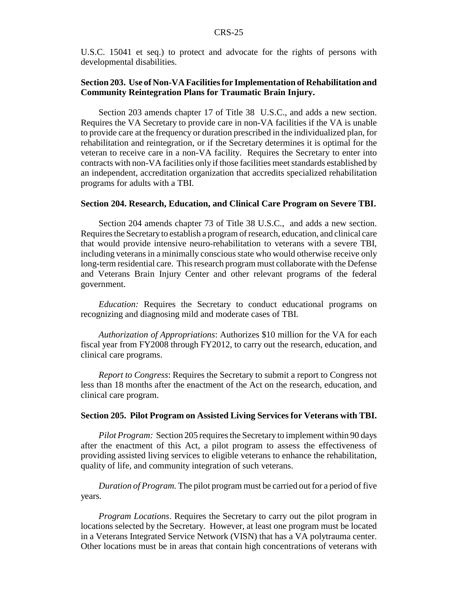U.S.C. 15041 et seq.) to protect and advocate for the rights of persons with developmental disabilities.

#### **Section 203. Use of Non-VA Facilities for Implementation of Rehabilitation and Community Reintegration Plans for Traumatic Brain Injury.**

Section 203 amends chapter 17 of Title 38 U.S.C., and adds a new section. Requires the VA Secretary to provide care in non-VA facilities if the VA is unable to provide care at the frequency or duration prescribed in the individualized plan, for rehabilitation and reintegration, or if the Secretary determines it is optimal for the veteran to receive care in a non-VA facility. Requires the Secretary to enter into contracts with non-VA facilities only if those facilities meet standards established by an independent, accreditation organization that accredits specialized rehabilitation programs for adults with a TBI.

#### **Section 204. Research, Education, and Clinical Care Program on Severe TBI.**

Section 204 amends chapter 73 of Title 38 U.S.C., and adds a new section. Requires the Secretary to establish a program of research, education, and clinical care that would provide intensive neuro-rehabilitation to veterans with a severe TBI, including veterans in a minimally conscious state who would otherwise receive only long-term residential care. This research program must collaborate with the Defense and Veterans Brain Injury Center and other relevant programs of the federal government.

*Education:* Requires the Secretary to conduct educational programs on recognizing and diagnosing mild and moderate cases of TBI.

*Authorization of Appropriations*: Authorizes \$10 million for the VA for each fiscal year from FY2008 through FY2012, to carry out the research, education, and clinical care programs.

*Report to Congress*: Requires the Secretary to submit a report to Congress not less than 18 months after the enactment of the Act on the research, education, and clinical care program.

#### **Section 205. Pilot Program on Assisted Living Services for Veterans with TBI.**

*Pilot Program:* Section 205 requires the Secretary to implement within 90 days after the enactment of this Act, a pilot program to assess the effectiveness of providing assisted living services to eligible veterans to enhance the rehabilitation, quality of life, and community integration of such veterans.

*Duration of Program.* The pilot program must be carried out for a period of five years.

*Program Locations*. Requires the Secretary to carry out the pilot program in locations selected by the Secretary. However, at least one program must be located in a Veterans Integrated Service Network (VISN) that has a VA polytrauma center. Other locations must be in areas that contain high concentrations of veterans with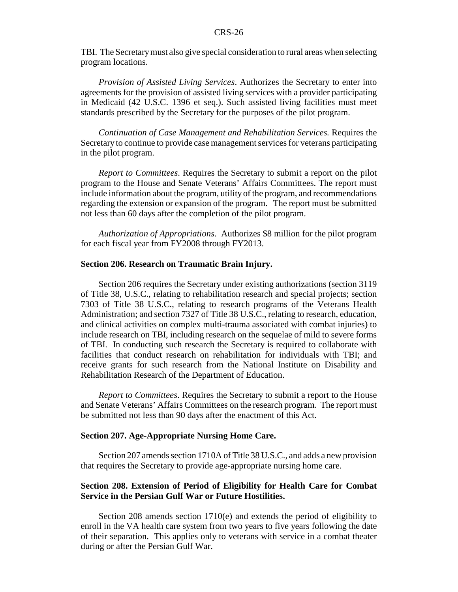TBI. The Secretary must also give special consideration to rural areas when selecting program locations.

*Provision of Assisted Living Services*. Authorizes the Secretary to enter into agreements for the provision of assisted living services with a provider participating in Medicaid (42 U.S.C. 1396 et seq.). Such assisted living facilities must meet standards prescribed by the Secretary for the purposes of the pilot program.

*Continuation of Case Management and Rehabilitation Services.* Requires the Secretary to continue to provide case management services for veterans participating in the pilot program.

*Report to Committees*. Requires the Secretary to submit a report on the pilot program to the House and Senate Veterans' Affairs Committees. The report must include information about the program, utility of the program, and recommendations regarding the extension or expansion of the program. The report must be submitted not less than 60 days after the completion of the pilot program.

*Authorization of Appropriations*. Authorizes \$8 million for the pilot program for each fiscal year from FY2008 through FY2013.

#### **Section 206. Research on Traumatic Brain Injury.**

Section 206 requires the Secretary under existing authorizations (section 3119 of Title 38, U.S.C., relating to rehabilitation research and special projects; section 7303 of Title 38 U.S.C., relating to research programs of the Veterans Health Administration; and section 7327 of Title 38 U.S.C., relating to research, education, and clinical activities on complex multi-trauma associated with combat injuries) to include research on TBI, including research on the sequelae of mild to severe forms of TBI. In conducting such research the Secretary is required to collaborate with facilities that conduct research on rehabilitation for individuals with TBI; and receive grants for such research from the National Institute on Disability and Rehabilitation Research of the Department of Education.

*Report to Committees*. Requires the Secretary to submit a report to the House and Senate Veterans' Affairs Committees on the research program. The report must be submitted not less than 90 days after the enactment of this Act.

#### **Section 207. Age-Appropriate Nursing Home Care.**

Section 207 amends section 1710A of Title 38 U.S.C., and adds a new provision that requires the Secretary to provide age-appropriate nursing home care.

#### **Section 208. Extension of Period of Eligibility for Health Care for Combat Service in the Persian Gulf War or Future Hostilities.**

Section 208 amends section 1710(e) and extends the period of eligibility to enroll in the VA health care system from two years to five years following the date of their separation. This applies only to veterans with service in a combat theater during or after the Persian Gulf War.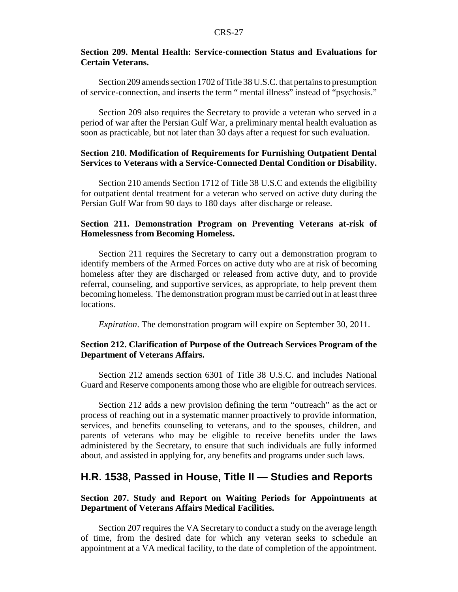#### **Section 209. Mental Health: Service-connection Status and Evaluations for Certain Veterans.**

Section 209 amends section 1702 of Title 38 U.S.C. that pertains to presumption of service-connection, and inserts the term " mental illness" instead of "psychosis."

Section 209 also requires the Secretary to provide a veteran who served in a period of war after the Persian Gulf War, a preliminary mental health evaluation as soon as practicable, but not later than 30 days after a request for such evaluation.

#### **Section 210. Modification of Requirements for Furnishing Outpatient Dental Services to Veterans with a Service-Connected Dental Condition or Disability.**

Section 210 amends Section 1712 of Title 38 U.S.C and extends the eligibility for outpatient dental treatment for a veteran who served on active duty during the Persian Gulf War from 90 days to 180 days after discharge or release.

#### **Section 211. Demonstration Program on Preventing Veterans at-risk of Homelessness from Becoming Homeless.**

Section 211 requires the Secretary to carry out a demonstration program to identify members of the Armed Forces on active duty who are at risk of becoming homeless after they are discharged or released from active duty, and to provide referral, counseling, and supportive services, as appropriate, to help prevent them becoming homeless. The demonstration program must be carried out in at least three locations.

*Expiration*. The demonstration program will expire on September 30, 2011.

#### **Section 212. Clarification of Purpose of the Outreach Services Program of the Department of Veterans Affairs.**

Section 212 amends section 6301 of Title 38 U.S.C. and includes National Guard and Reserve components among those who are eligible for outreach services.

Section 212 adds a new provision defining the term "outreach" as the act or process of reaching out in a systematic manner proactively to provide information, services, and benefits counseling to veterans, and to the spouses, children, and parents of veterans who may be eligible to receive benefits under the laws administered by the Secretary, to ensure that such individuals are fully informed about, and assisted in applying for, any benefits and programs under such laws.

#### **H.R. 1538, Passed in House, Title II — Studies and Reports**

#### **Section 207. Study and Report on Waiting Periods for Appointments at Department of Veterans Affairs Medical Facilities.**

Section 207 requires the VA Secretary to conduct a study on the average length of time, from the desired date for which any veteran seeks to schedule an appointment at a VA medical facility, to the date of completion of the appointment.